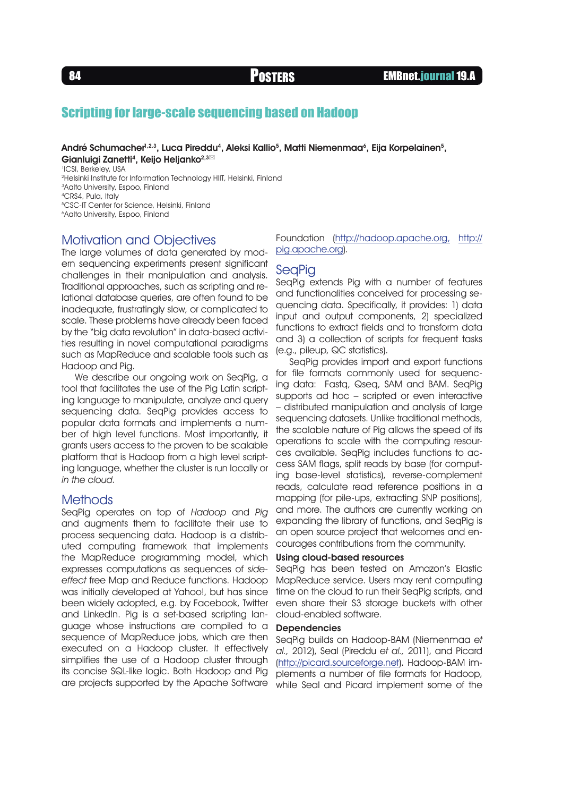# Scripting for large-scale sequencing based on Hadoop

André Schumacher $^{\text{h.2.3}},\,$ Luca Pireddu<sup>4</sup>, Aleksi Kallio<sup>5</sup>, Matti Niemenmaa<sup>6</sup>, Eija Korpelainen<sup>5</sup>, Gianluigi Zanetti<sup>4</sup>, Keijo Heljanko<sup>2,3⊠</sup>

1 ICSI, Berkeley, USA

2Helsinki Institute for Information Technology HIIT, Helsinki, Finland

3Aalto University, Espoo, Finland

4CRS4, Pula, Italy

5CSC-IT Center for Science, Helsinki, Finland

6Aalto University, Espoo, Finland

## Motivation and Objectives

The large volumes of data generated by modern sequencing experiments present significant challenges in their manipulation and analysis. Traditional approaches, such as scripting and relational database queries, are often found to be inadequate, frustratingly slow, or complicated to scale. These problems have already been faced by the "big data revolution" in data-based activities resulting in novel computational paradigms such as MapReduce and scalable tools such as Hadoop and Pig.

We describe our ongoing work on SeqPig, a tool that facilitates the use of the Pig Latin scripting language to manipulate, analyze and query sequencing data. SeqPig provides access to popular data formats and implements a number of high level functions. Most importantly, it grants users access to the proven to be scalable platform that is Hadoop from a high level scripting language, whether the cluster is run locally or in the cloud.

### Methods

SeqPig operates on top of Hadoop and Pig and augments them to facilitate their use to process sequencing data. Hadoop is a distributed computing framework that implements the MapReduce programming model, which expresses computations as sequences of sideeffect free Map and Reduce functions. Hadoop was initially developed at Yahoo!, but has since been widely adopted, e.g. by Facebook, Twitter and LinkedIn. Pig is a set-based scripting language whose instructions are compiled to a sequence of MapReduce jobs, which are then executed on a Hadoop cluster. It effectively simplifies the use of a Hadoop cluster through its concise SQL-like logic. Both Hadoop and Pig are projects supported by the Apache Software

Foundation ([http://hadoop.apache.org](http://hadoop.apache.org/), [http://](http://pig.apache.org/) [pig.apache.org\)](http://pig.apache.org/).

## **SeaPia**

SeqPig extends Pig with a number of features and functionalities conceived for processing sequencing data. Specifically, it provides: 1) data input and output components, 2) specialized functions to extract fields and to transform data and 3) a collection of scripts for frequent tasks (e.g., pileup, QC statistics).

SeqPig provides import and export functions for file formats commonly used for sequencing data: Fastq, Qseq, SAM and BAM. SeqPig supports ad hoc – scripted or even interactive – distributed manipulation and analysis of large sequencing datasets. Unlike traditional methods, the scalable nature of Pig allows the speed of its operations to scale with the computing resources available. SeqPig includes functions to access SAM flags, split reads by base (for computing base-level statistics), reverse-complement reads, calculate read reference positions in a mapping (for pile-ups, extracting SNP positions), and more. The authors are currently working on expanding the library of functions, and SeqPig is an open source project that welcomes and encourages contributions from the community.

#### Using cloud-based resources

SeqPig has been tested on Amazon's Elastic MapReduce service. Users may rent computing time on the cloud to run their SeaPia scripts, and even share their S3 storage buckets with other cloud-enabled software.

### **Dependencies**

SeqPig builds on Hadoop-BAM (Niemenmaa et al., 2012), Seal (Pireddu et al., 2011), and Picard [\(http://picard.sourceforge.net\)](http://picard.sourceforge.net/). Hadoop-BAM implements a number of file formats for Hadoop, while Seal and Picard implement some of the